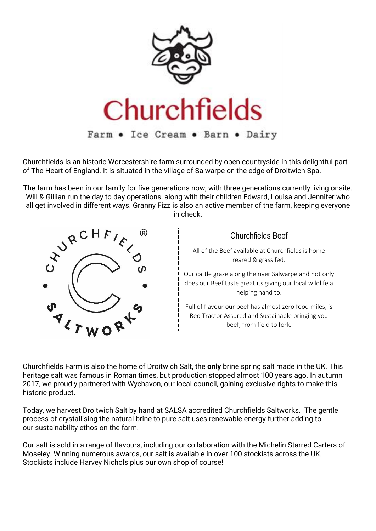

Churchfields is an historic Worcestershire farm surrounded by open countryside in this delightful part of The Heart of England. It is situated in the village of Salwarpe on the edge of Droitwich Spa.

The farm has been in our family for five generations now, with three generations currently living onsite. Will & Gillian run the day to day operations, along with their children Edward, Louisa and Jennifer who all get involved in different ways. Granny Fizz is also an active member of the farm, keeping everyone in check.



Churchfields Farm is also the home of Droitwich Salt, the **only** brine spring salt made in the UK. This heritage salt was famous in Roman times, but production stopped almost 100 years ago. In autumn 2017, we proudly partnered with [Wychavon,](https://www.wychavon.gov.uk/) our local council, gaining exclusive rights to make this historic product.

Today, we harvest Droitwich Salt by hand at [SALSA accredited](https://www.salsafood.co.uk/pages/directory/detail_NewDir.php?sID=6527) Churchfields Saltworks. The gentle process of crystallising the natural brine to pure salt uses renewable energy further adding to our [sustainability](https://churchfields.farm/about/sustainability/) ethos on the farm.

Our salt is sold in a range of flavours, including our collaboration with the Michelin Starred [Carters of](https://cartersofmoseley.co.uk/)  [Moseley.](https://cartersofmoseley.co.uk/) Winning numerous awards, our salt is available in over 100 stockists across the UK. Stockists include Harvey Nichols plus our own shop of course!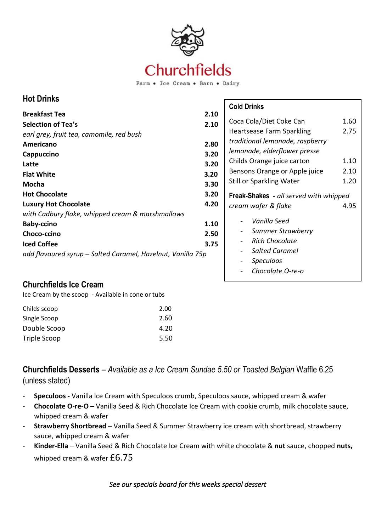

Farm . Ice Cream . Barn . Dairy

# **Hot Drinks**

|                                                             |      | <b>Cold Drinks</b>                                |      |  |
|-------------------------------------------------------------|------|---------------------------------------------------|------|--|
| <b>Breakfast Tea</b>                                        | 2.10 |                                                   |      |  |
| <b>Selection of Tea's</b>                                   | 2.10 | Coca Cola/Diet Coke Can                           | 1.60 |  |
| earl grey, fruit tea, camomile, red bush                    |      | <b>Heartsease Farm Sparkling</b>                  | 2.75 |  |
| Americano                                                   | 2.80 | traditional lemonade, raspberry                   |      |  |
| Cappuccino                                                  | 3.20 | lemonade, elderflower presse                      |      |  |
| Latte                                                       | 3.20 | Childs Orange juice carton                        | 1.10 |  |
| <b>Flat White</b>                                           | 3.20 | Bensons Orange or Apple juice                     | 2.10 |  |
| Mocha                                                       | 3.30 | <b>Still or Sparkling Water</b>                   | 1.20 |  |
| <b>Hot Chocolate</b>                                        | 3.20 | Freak-Shakes - all served with whipped            |      |  |
| <b>Luxury Hot Chocolate</b>                                 | 4.20 | cream wafer & flake                               | 4.95 |  |
| with Cadbury flake, whipped cream & marshmallows            |      |                                                   |      |  |
| <b>Baby-ccino</b>                                           | 1.10 | Vanilla Seed                                      |      |  |
| Choco-ccino                                                 | 2.50 | <b>Summer Strawberry</b>                          |      |  |
| <b>Iced Coffee</b>                                          | 3.75 | <b>Rich Chocolate</b><br>$\overline{\phantom{a}}$ |      |  |
| add flavoured syrup – Salted Caramel, Hazelnut, Vanilla 75p |      | <b>Salted Caramel</b><br>-                        |      |  |
|                                                             |      | <b>Speculoos</b>                                  |      |  |
|                                                             |      |                                                   |      |  |

-

## **Churchfields Ice Cream**

Ice Cream by the scoop - Available in cone or tubs

| Childs scoop | 2.00 |
|--------------|------|
| Single Scoop | 2.60 |
| Double Scoop | 4.20 |
| Triple Scoop | 5.50 |

**Churchfields Desserts** – *Available as a Ice Cream Sundae 5.50 or Toasted Belgian* Waffle 6.25 (unless stated)

- **Speculoos -** Vanilla Ice Cream with Speculoos crumb, Speculoos sauce, whipped cream & wafer
- **Chocolate O-re-O –** Vanilla Seed & Rich Chocolate Ice Cream with cookie crumb, milk chocolate sauce, whipped cream & wafer
- **Strawberry Shortbread –** Vanilla Seed & Summer Strawberry ice cream with shortbread, strawberry sauce, whipped cream & wafer
- **Kinder-Ella**  Vanilla Seed & Rich Chocolate Ice Cream with white chocolate & **nut** sauce, chopped **nuts,** whipped cream & wafer £6.75

### *See our specials board for this weeks special dessert*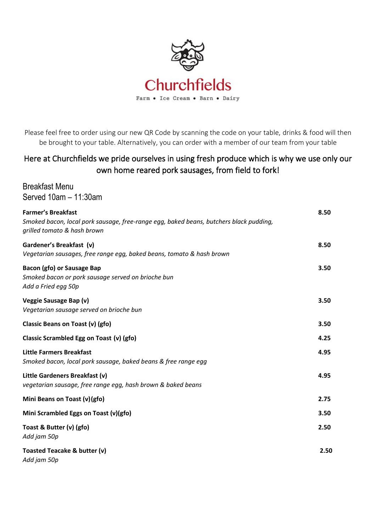

Please feel free to order using our new QR Code by scanning the code on your table, drinks & food will then be brought to your table. Alternatively, you can order with a member of our team from your table

# Here at Churchfields we pride ourselves in using fresh produce which is why we use only our own home reared pork sausages, from field to fork!

Breakfast Menu Served 10am – 11:30am

| <b>Farmer's Breakfast</b><br>Smoked bacon, local pork sausage, free-range egg, baked beans, butchers black pudding,<br>grilled tomato & hash brown |      |
|----------------------------------------------------------------------------------------------------------------------------------------------------|------|
| Gardener's Breakfast (v)<br>Vegetarian sausages, free range egg, baked beans, tomato & hash brown                                                  | 8.50 |
| <b>Bacon (gfo) or Sausage Bap</b><br>Smoked bacon or pork sausage served on brioche bun<br>Add a Fried egg 50p                                     | 3.50 |
| Veggie Sausage Bap (v)<br>Vegetarian sausage served on brioche bun                                                                                 | 3.50 |
| Classic Beans on Toast (v) (gfo)                                                                                                                   | 3.50 |
| Classic Scrambled Egg on Toast (v) (gfo)                                                                                                           | 4.25 |
| <b>Little Farmers Breakfast</b><br>Smoked bacon, local pork sausage, baked beans & free range egg                                                  | 4.95 |
| Little Gardeners Breakfast (v)<br>vegetarian sausage, free range egg, hash brown & baked beans                                                     | 4.95 |
| Mini Beans on Toast (v) (gfo)                                                                                                                      | 2.75 |
| Mini Scrambled Eggs on Toast (v)(gfo)                                                                                                              | 3.50 |
| Toast & Butter (v) (gfo)<br>Add jam 50p                                                                                                            | 2.50 |
| Toasted Teacake & butter (v)<br>Add jam 50p                                                                                                        | 2.50 |